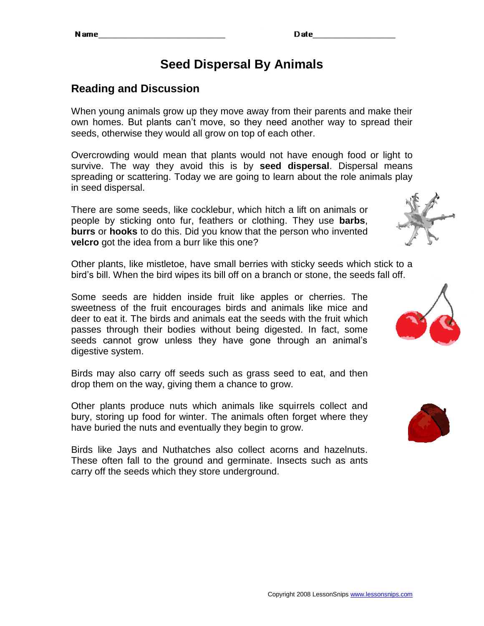# **Seed Dispersal By Animals**

## **Reading and Discussion**

When young animals grow up they move away from their parents and make their own homes. But plants can't move, so they need another way to spread their seeds, otherwise they would all grow on top of each other.

Overcrowding would mean that plants would not have enough food or light to survive. The way they avoid this is by **seed dispersal**. Dispersal means spreading or scattering. Today we are going to learn about the role animals play in seed dispersal.

There are some seeds, like cocklebur, which hitch a lift on animals or people by sticking onto fur, feathers or clothing. They use **barbs**, **burrs** or **hooks** to do this. Did you know that the person who invented **velcro** got the idea from a burr like this one?

Other plants, like mistletoe, have small berries with sticky seeds which stick to a bird's bill. When the bird wipes its bill off on a branch or stone, the seeds fall off.

Some seeds are hidden inside fruit like apples or cherries. The sweetness of the fruit encourages birds and animals like mice and deer to eat it. The birds and animals eat the seeds with the fruit which passes through their bodies without being digested. In fact, some seeds cannot grow unless they have gone through an animal's digestive system.

Birds may also carry off seeds such as grass seed to eat, and then drop them on the way, giving them a chance to grow.

Other plants produce nuts which animals like squirrels collect and bury, storing up food for winter. The animals often forget where they have buried the nuts and eventually they begin to grow.

Birds like Jays and Nuthatches also collect acorns and hazelnuts. These often fall to the ground and germinate. Insects such as ants carry off the seeds which they store underground.





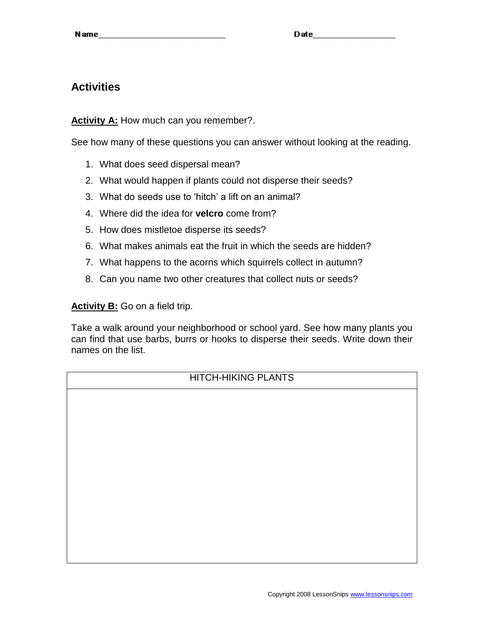### **Activities**

**Activity A:** How much can you remember?.

See how many of these questions you can answer without looking at the reading.

- 1. What does seed dispersal mean?
- 2. What would happen if plants could not disperse their seeds?
- 3. What do seeds use to 'hitch' a lift on an animal?
- 4. Where did the idea for **velcro** come from?
- 5. How does mistletoe disperse its seeds?
- 6. What makes animals eat the fruit in which the seeds are hidden?
- 7. What happens to the acorns which squirrels collect in autumn?
- 8. Can you name two other creatures that collect nuts or seeds?

**Activity B:** Go on a field trip.

Take a walk around your neighborhood or school yard. See how many plants you can find that use barbs, burrs or hooks to disperse their seeds. Write down their names on the list.

| HITCH-HIKING PLANTS |
|---------------------|
|                     |
|                     |
|                     |
|                     |
|                     |
|                     |
|                     |
|                     |
|                     |
|                     |